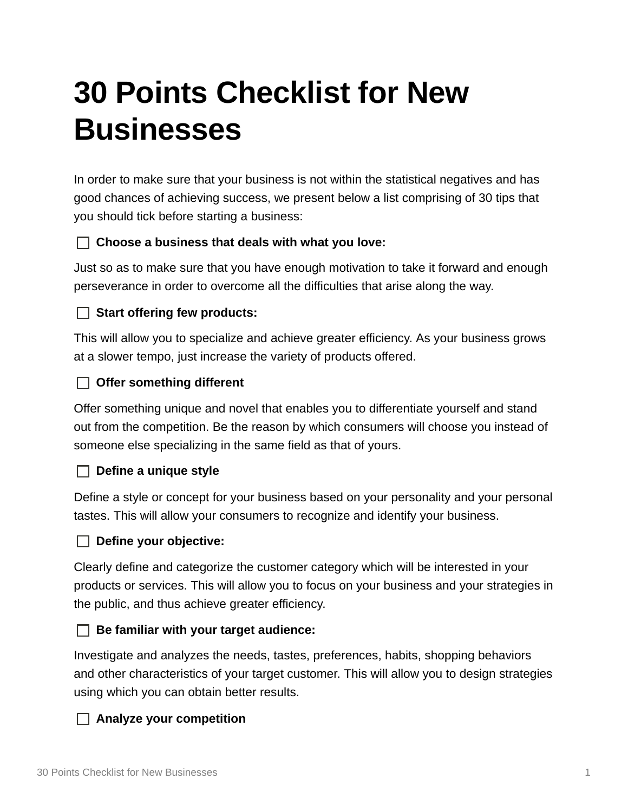# **30 Points Checklist for New Businesses**

In order to make sure that your business is not within the statistical negatives and has good chances of achieving success, we present below a list comprising of 30 tips that you should tick before starting a business:

# **Choose a business that deals with what you love:**

Just so as to make sure that you have enough motivation to take it forward and enough perseverance in order to overcome all the difficulties that arise along the way.

# **Start offering few products:**

This will allow you to specialize and achieve greater efficiency. As your business grows at a slower tempo, just increase the variety of products offered.

# **Offer something different**

Offer something unique and novel that enables you to differentiate yourself and stand out from the competition. Be the reason by which consumers will choose you instead of someone else specializing in the same field as that of yours.

## **Define a unique style**

Define a style or concept for your business based on your personality and your personal tastes. This will allow your consumers to recognize and identify your business.

## **Define your objective:**

Clearly define and categorize the customer category which will be interested in your products or services. This will allow you to focus on your business and your strategies in the public, and thus achieve greater efficiency.

## **Be familiar with your target audience:**

Investigate and analyzes the needs, tastes, preferences, habits, shopping behaviors and other characteristics of your target customer. This will allow you to design strategies using which you can obtain better results.

## **Analyze your competition**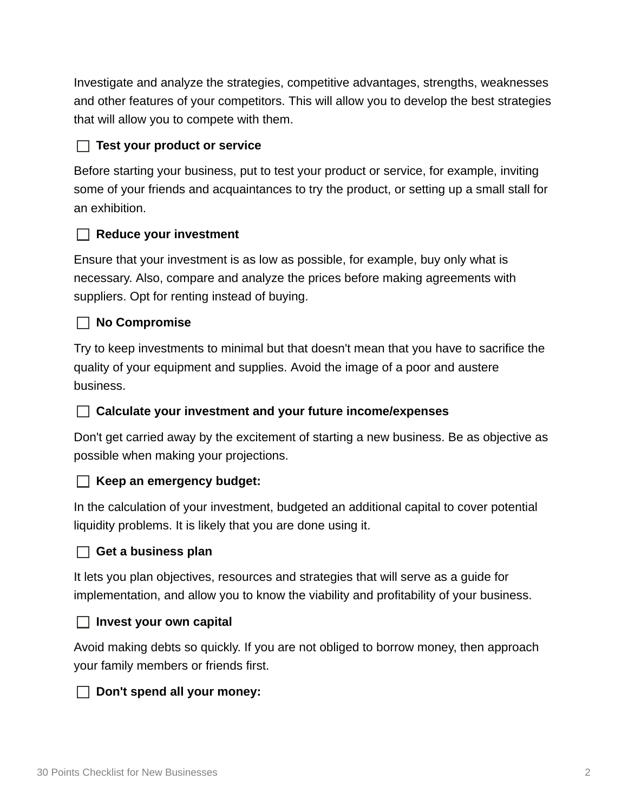Investigate and analyze the strategies, competitive advantages, strengths, weaknesses and other features of your competitors. This will allow you to develop the best strategies that will allow you to compete with them.

## **Test your product or service**

Before starting your business, put to test your product or service, for example, inviting some of your friends and acquaintances to try the product, or setting up a small stall for an exhibition.

## **Reduce your investment**

Ensure that your investment is as low as possible, for example, buy only what is necessary. Also, compare and analyze the prices before making agreements with suppliers. Opt for renting instead of buying.

## **No Compromise**

Try to keep investments to minimal but that doesn't mean that you have to sacrifice the quality of your equipment and supplies. Avoid the image of a poor and austere business.

## **Calculate your investment and your future income/expenses**

Don't get carried away by the excitement of starting a new business. Be as objective as possible when making your projections.

#### **Keep an emergency budget:**

In the calculation of your investment, budgeted an additional capital to cover potential liquidity problems. It is likely that you are done using it.

#### **Get a business plan**

It lets you plan objectives, resources and strategies that will serve as a guide for implementation, and allow you to know the viability and profitability of your business.

#### **Invest your own capital**

Avoid making debts so quickly. If you are not obliged to borrow money, then approach your family members or friends first.

#### **Don't spend all your money:**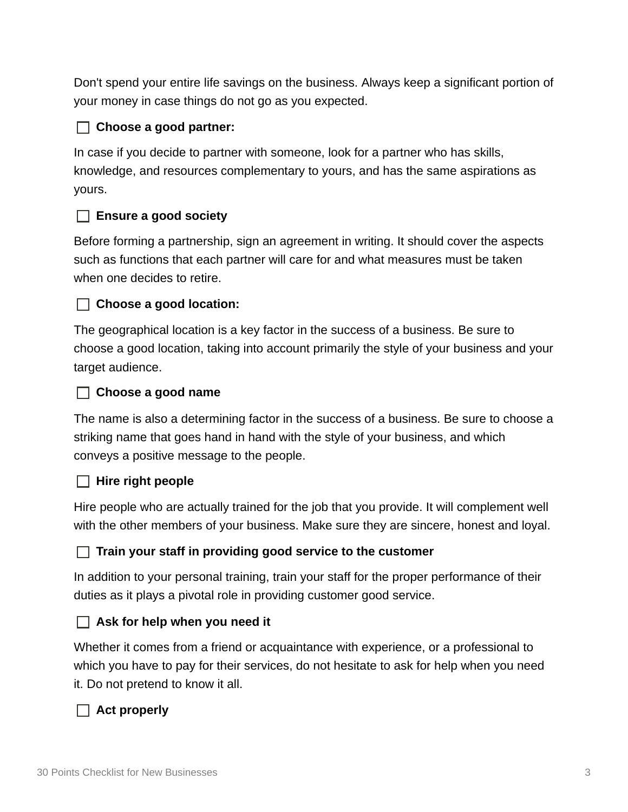Don't spend your entire life savings on the business. Always keep a significant portion of your money in case things do not go as you expected.

# **Choose a good partner:**

In case if you decide to partner with someone, look for a partner who has skills, knowledge, and resources complementary to yours, and has the same aspirations as yours.

## **Ensure a good society**

Before forming a partnership, sign an agreement in writing. It should cover the aspects such as functions that each partner will care for and what measures must be taken when one decides to retire.

## **Choose a good location:**

The geographical location is a key factor in the success of a business. Be sure to choose a good location, taking into account primarily the style of your business and your target audience.

#### **Choose a good name**

The name is also a determining factor in the success of a business. Be sure to choose a striking name that goes hand in hand with the style of your business, and which conveys a positive message to the people.

#### **Hire right people**

Hire people who are actually trained for the job that you provide. It will complement well with the other members of your business. Make sure they are sincere, honest and loyal.

#### **Train your staff in providing good service to the customer**

In addition to your personal training, train your staff for the proper performance of their duties as it plays a pivotal role in providing customer good service.

#### **Ask for help when you need it**

Whether it comes from a friend or acquaintance with experience, or a professional to which you have to pay for their services, do not hesitate to ask for help when you need it. Do not pretend to know it all.

## **Act properly**